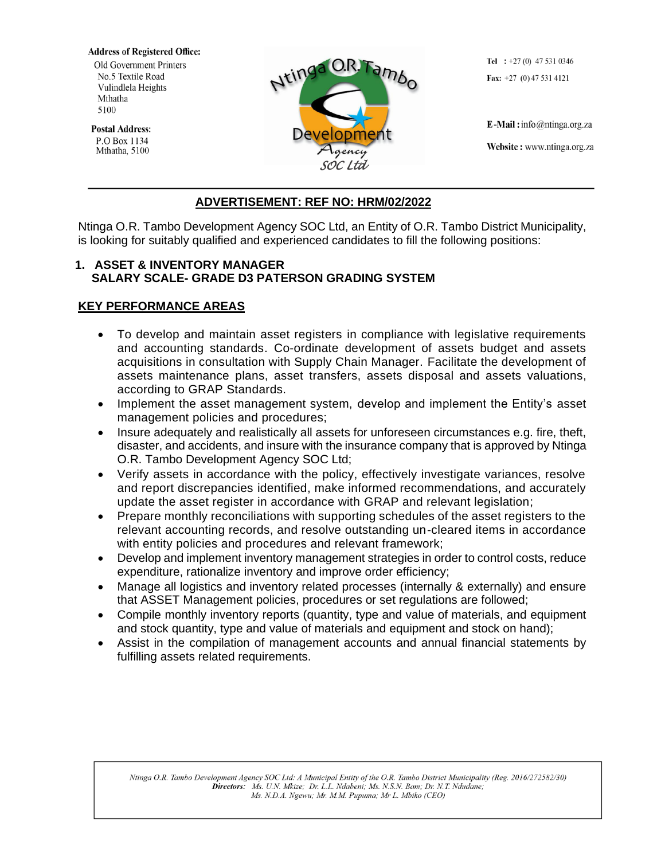**Address of Registered Office:** Old Government Printers No.5 Textile Road Vulindlela Heights Mthatha 5100

**Postal Address:** P.O Box 1134 Mthatha, 5100



Tel :  $+27(0)$  47 531 0346 Fax:  $+27$  (0) 47 531 4121

E-Mail: info@ntinga.org.za Website: www.ntinga.org.za

## **ADVERTISEMENT: REF NO: HRM/02/2022**

Ntinga O.R. Tambo Development Agency SOC Ltd, an Entity of O.R. Tambo District Municipality, is looking for suitably qualified and experienced candidates to fill the following positions:

#### **1. ASSET & INVENTORY MANAGER SALARY SCALE- GRADE D3 PATERSON GRADING SYSTEM**

## **KEY PERFORMANCE AREAS**

- To develop and maintain asset registers in compliance with legislative requirements and accounting standards. Co-ordinate development of assets budget and assets acquisitions in consultation with Supply Chain Manager. Facilitate the development of assets maintenance plans, asset transfers, assets disposal and assets valuations, according to GRAP Standards.
- Implement the asset management system, develop and implement the Entity's asset management policies and procedures;
- Insure adequately and realistically all assets for unforeseen circumstances e.g. fire, theft, disaster, and accidents, and insure with the insurance company that is approved by Ntinga O.R. Tambo Development Agency SOC Ltd;
- Verify assets in accordance with the policy, effectively investigate variances, resolve and report discrepancies identified, make informed recommendations, and accurately update the asset register in accordance with GRAP and relevant legislation;
- Prepare monthly reconciliations with supporting schedules of the asset registers to the relevant accounting records, and resolve outstanding un-cleared items in accordance with entity policies and procedures and relevant framework;
- Develop and implement inventory management strategies in order to control costs, reduce expenditure, rationalize inventory and improve order efficiency;
- Manage all logistics and inventory related processes (internally & externally) and ensure that ASSET Management policies, procedures or set regulations are followed;
- Compile monthly inventory reports (quantity, type and value of materials, and equipment and stock quantity, type and value of materials and equipment and stock on hand);
- Assist in the compilation of management accounts and annual financial statements by fulfilling assets related requirements.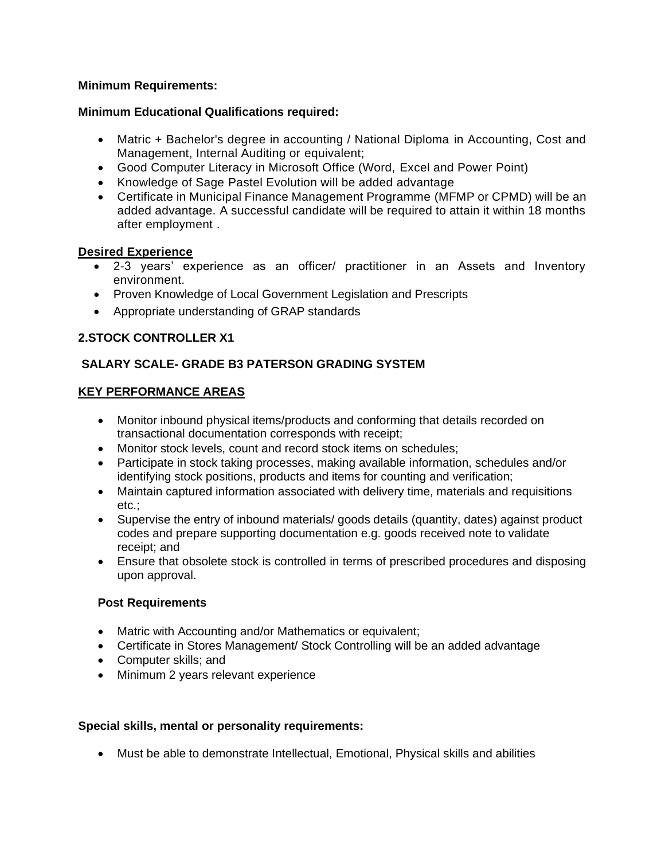### **Minimum Requirements:**

#### **Minimum Educational Qualifications required:**

- Matric + Bachelor's degree in accounting / National Diploma in Accounting, Cost and Management, Internal Auditing or equivalent;
- Good Computer Literacy in Microsoft Office (Word, Excel and Power Point)
- Knowledge of Sage Pastel Evolution will be added advantage
- Certificate in Municipal Finance Management Programme (MFMP or CPMD) will be an added advantage. A successful candidate will be required to attain it within 18 months after employment .

### **Desired Experience**

- 2-3 years' experience as an officer/ practitioner in an Assets and Inventory environment.
- Proven Knowledge of Local Government Legislation and Prescripts
- Appropriate understanding of GRAP standards

# **2.STOCK CONTROLLER X1**

# **SALARY SCALE- GRADE B3 PATERSON GRADING SYSTEM**

## **KEY PERFORMANCE AREAS**

- Monitor inbound physical items/products and conforming that details recorded on transactional documentation corresponds with receipt;
- Monitor stock levels, count and record stock items on schedules;
- Participate in stock taking processes, making available information, schedules and/or identifying stock positions, products and items for counting and verification;
- Maintain captured information associated with delivery time, materials and requisitions etc.;
- Supervise the entry of inbound materials/ goods details (quantity, dates) against product codes and prepare supporting documentation e.g. goods received note to validate receipt; and
- Ensure that obsolete stock is controlled in terms of prescribed procedures and disposing upon approval.

## **Post Requirements**

- Matric with Accounting and/or Mathematics or equivalent;
- Certificate in Stores Management/ Stock Controlling will be an added advantage
- Computer skills; and
- Minimum 2 years relevant experience

## **Special skills, mental or personality requirements:**

• Must be able to demonstrate Intellectual, Emotional, Physical skills and abilities